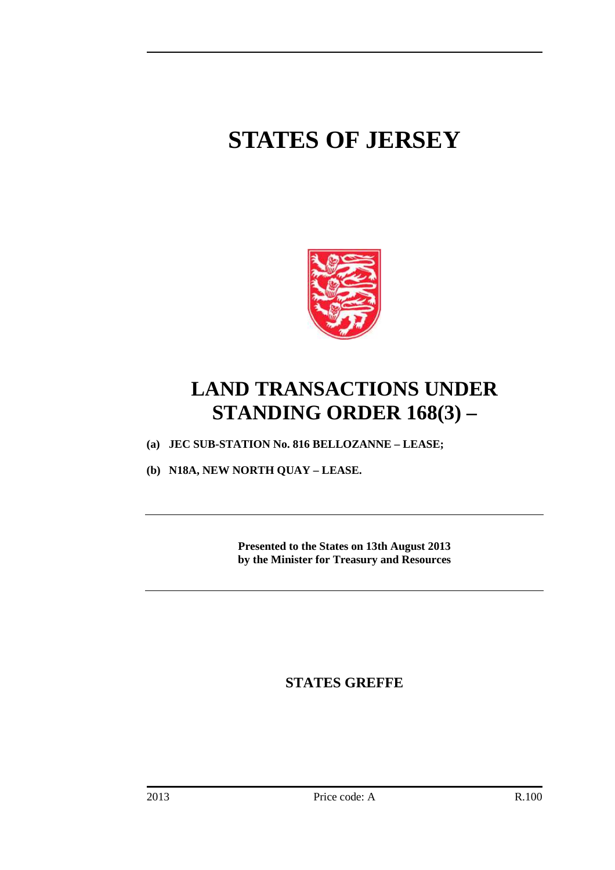# **STATES OF JERSEY**



## **LAND TRANSACTIONS UNDER STANDING ORDER 168(3) –**

- **(a) JEC SUB-STATION No. 816 BELLOZANNE LEASE;**
- **(b) N18A, NEW NORTH QUAY LEASE.**

**Presented to the States on 13th August 2013 by the Minister for Treasury and Resources** 

**STATES GREFFE**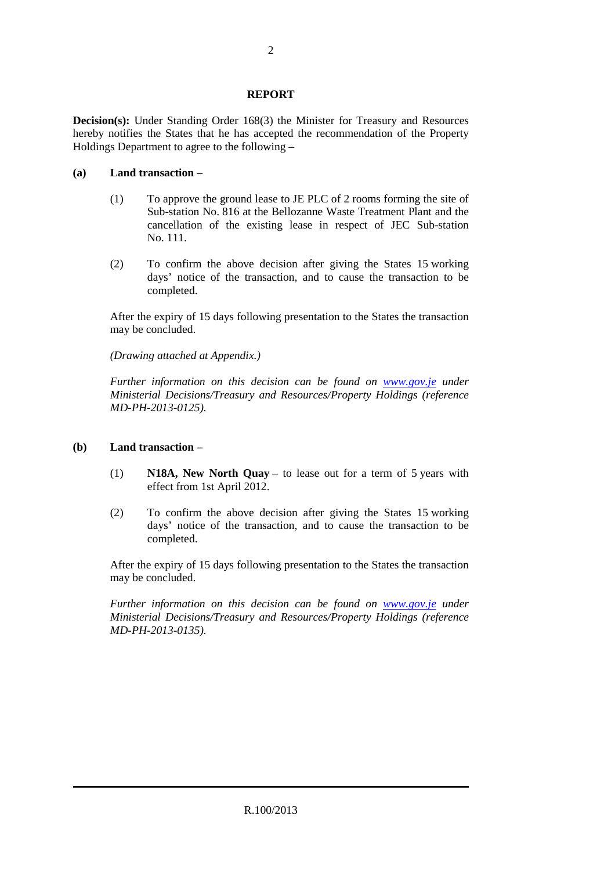#### **REPORT**

**Decision(s):** Under Standing Order 168(3) the Minister for Treasury and Resources hereby notifies the States that he has accepted the recommendation of the Property Holdings Department to agree to the following –

#### **(a) Land transaction –**

- (1) To approve the ground lease to JE PLC of 2 rooms forming the site of Sub-station No. 816 at the Bellozanne Waste Treatment Plant and the cancellation of the existing lease in respect of JEC Sub-station No. 111.
- (2) To confirm the above decision after giving the States 15 working days' notice of the transaction, and to cause the transaction to be completed.

 After the expiry of 15 days following presentation to the States the transaction may be concluded.

 *(Drawing attached at Appendix.)* 

 *Further information on this decision can be found on www.gov.je under Ministerial Decisions/Treasury and Resources/Property Holdings (reference MD-PH-2013-0125).* 

### **(b) Land transaction –**

- (1) **N18A, New North Quay**  to lease out for a term of 5 years with effect from 1st April 2012.
- (2) To confirm the above decision after giving the States 15 working days' notice of the transaction, and to cause the transaction to be completed.

 After the expiry of 15 days following presentation to the States the transaction may be concluded.

 *Further information on this decision can be found on www.gov.je under Ministerial Decisions/Treasury and Resources/Property Holdings (reference MD-PH-2013-0135).*